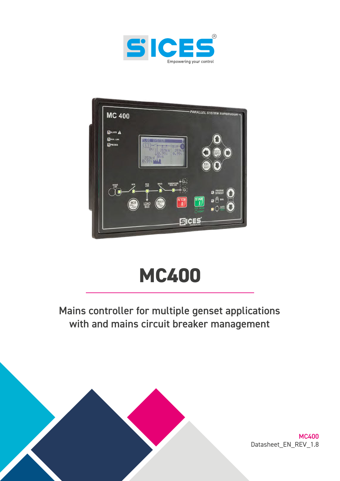



# **MC400**

## Mains controller for multiple genset applications with and mains circuit breaker management



MC400 Datasheet\_EN\_REV\_1.8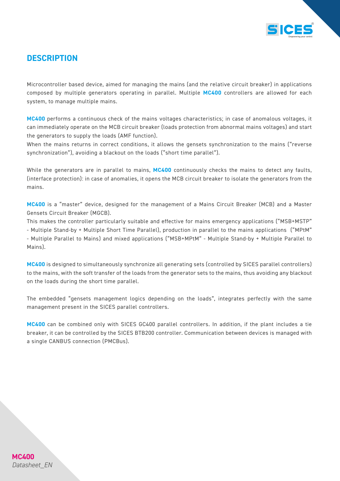

## *DESCRIPTION*

Microcontroller based device, aimed for managing the mains (and the relative circuit breaker) in applications composed by multiple generators operating in parallel. Multiple *MC400* controllers are allowed for each system, to manage multiple mains.

*MC400* performs a continuous check of the mains voltages characteristics; in case of anomalous voltages, it can immediately operate on the MCB circuit breaker (loads protection from abnormal mains voltages) and start the generators to supply the loads (AMF function).

When the mains returns in correct conditions, it allows the gensets synchronization to the mains ("reverse synchronization"), avoiding a blackout on the loads ("short time parallel").

While the generators are in parallel to mains, *MC400* continuously checks the mains to detect any faults, (interface protection): in case of anomalies, it opens the MCB circuit breaker to isolate the generators from the mains.

*MC400* is a "master" device, designed for the management of a Mains Circuit Breaker (MCB) and a Master Gensets Circuit Breaker (MGCB).

This makes the controller particularly suitable and effective for mains emergency applications ("MSB+MSTP" - Multiple Stand-by + Multiple Short Time Parallel), production in parallel to the mains applications ("MPtM" - Multiple Parallel to Mains) and mixed applications ("MSB+MPtM" - Multiple Stand-by + Multiple Parallel to Mains).

*MC400* is designed to simultaneously synchronize all generating sets (controlled by SICES parallel controllers) to the mains, with the soft transfer of the loads from the generator sets to the mains, thus avoiding any blackout on the loads during the short time parallel.

The embedded "gensets management logics depending on the loads", integrates perfectly with the same management present in the SICES parallel controllers.

*MC400* can be combined only with SICES GC400 parallel controllers. In addition, if the plant includes a tie breaker, it can be controlled by the SICES BTB200 controller. Communication between devices is managed with a single CANBUS connection (PMCBus).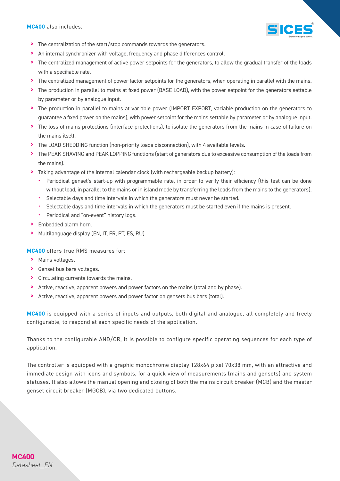*MC400* also includes:



- > The centralization of the start/stop commands towards the generators.
- > An internal synchronizer with voltage, frequency and phase differences control.
- > The centralized management of active power setpoints for the generators, to allow the gradual transfer of the loads with a specifiable rate.
- > The centralized management of power factor setpoints for the generators, when operating in parallel with the mains.
- > The production in parallel to mains at fixed power (BASE LOAD), with the power setpoint for the generators settable by parameter or by analogue input.
- > The production in parallel to mains at variable power (IMPORT EXPORT, variable production on the generators to guarantee a fixed power on the mains), with power setpoint for the mains settable by parameter or by analogue input.
- > The loss of mains protections (interface protections), to isolate the generators from the mains in case of failure on the mains itself.
- > The LOAD SHEDDING function (non-priority loads disconnection), with 4 available levels.
- > The PEAK SHAVING and PEAK LOPPING functions (start of generators due to excessive consumption of the loads from the mains).
- > Taking advantage of the internal calendar clock (with rechargeable backup battery):
	- Periodical genset's start-up with programmable rate, in order to verify their efficiency (this test can be done without load, in parallel to the mains or in island mode by transferring the loads from the mains to the generators).
	- Selectable days and time intervals in which the generators must never be started.
	- Selectable days and time intervals in which the generators must be started even if the mains is present.
	- Periodical and "on-event" history logs.
- Embedded alarm horn.
- > Multilanguage display (EN, IT, FR, PT, ES, RU)

*MC400* offers true RMS measures for:

- > Mains voltages.
- > Genset bus bars voltages.
- > Circulating currents towards the mains.
- > Active, reactive, apparent powers and power factors on the mains (total and by phase).
- > Active, reactive, apparent powers and power factor on gensets bus bars (total).

*MC400* is equipped with a series of inputs and outputs, both digital and analogue, all completely and freely configurable, to respond at each specific needs of the application.

Thanks to the configurable AND/OR, it is possible to configure specific operating sequences for each type of application.

The controller is equipped with a graphic monochrome display 128x64 pixel 70x38 mm, with an attractive and immediate design with icons and symbols, for a quick view of measurements (mains and gensets) and system statuses. It also allows the manual opening and closing of both the mains circuit breaker (MCB) and the master genset circuit breaker (MGCB), via two dedicated buttons.

## **MC400** *Datasheet\_EN*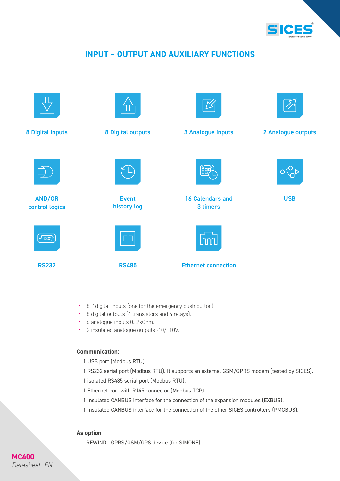

## *INPUT – OUTPUT AND AUXILIARY FUNCTIONS*



- 8+1digital inputs (one for the emergency push button)
- 8 digital outputs (4 transistors and 4 relays).
- 6 analogue inputs 0...2kOhm.
- 2 insulated analogue outputs -10/+10V.

#### *Communication:*

- 1 USB port (Modbus RTU).
- 1 RS232 serial port (Modbus RTU). It supports an external GSM/GPRS modem (tested by SICES).
- 1 isolated RS485 serial port (Modbus RTU).
- 1 Ethernet port with RJ45 connector (Modbus TCP).
- 1 Insulated CANBUS interface for the connection of the expansion modules (EXBUS).
- 1 Insulated CANBUS interface for the connection of the other SICES controllers (PMCBUS).

#### *As option*

REWIND - GPRS/GSM/GPS device (for SIMONE)

## **MC400** *Datasheet\_EN*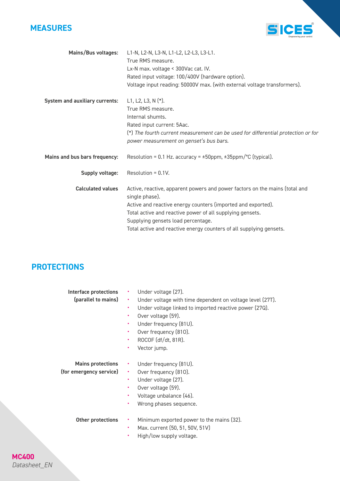



| Mains/Bus voltages:                   | L1-N, L2-N, L3-N, L1-L2, L2-L3, L3-L1.<br>True RMS measure.<br>Lx-N max. voltage < 300Vac cat. IV.<br>Rated input voltage: 100/400V (hardware option).<br>Voltage input reading: 50000V max. (with external voltage transformers).                                                                                                      |
|---------------------------------------|-----------------------------------------------------------------------------------------------------------------------------------------------------------------------------------------------------------------------------------------------------------------------------------------------------------------------------------------|
| <b>System and auxiliary currents:</b> | L1, L2, L3, N $(*)$ .<br>True RMS measure.<br>Internal shumts.<br>Rated input current: 5Aac.<br>(*) The fourth current measurement can be used for differential protection or for<br>power measurement on genset's bus bars.                                                                                                            |
| Mains and bus bars frequency:         | Resolution = 0.1 Hz. accuracy = $\pm$ 50ppm, $\pm$ 35ppm/°C (typical).                                                                                                                                                                                                                                                                  |
| Supply voltage:                       | Resolution = $0.1V$ .                                                                                                                                                                                                                                                                                                                   |
| <b>Calculated values</b>              | Active, reactive, apparent powers and power factors on the mains (total and<br>single phase).<br>Active and reactive energy counters (imported and exported).<br>Total active and reactive power of all supplying gensets.<br>Supplying gensets load percentage.<br>Total active and reactive energy counters of all supplying gensets. |

## *PROTECTIONS*

| Interface protections<br>(parallel to mains)        | ٠<br>$\bullet$<br>$\bullet$<br>٠<br>$\bullet$<br>٠<br>٠<br>٠ | Under voltage (27).<br>Under voltage with time dependent on voltage level (27T).<br>Under voltage linked to imported reactive power (27Q).<br>Over voltage (59).<br>Under frequency (81U).<br>Over frequency (810).<br>ROCOF (df/dt, 81R).<br>Vector jump. |
|-----------------------------------------------------|--------------------------------------------------------------|------------------------------------------------------------------------------------------------------------------------------------------------------------------------------------------------------------------------------------------------------------|
| <b>Mains protections</b><br>(for emergency service) | ٠<br>٠<br>٠<br>٠<br>٠                                        | Under frequency (81U).<br>Over frequency (810).<br>Under voltage (27).<br>Over voltage (59).<br>Voltage unbalance (46).<br>Wrong phases sequence.                                                                                                          |
| Other protections                                   | ٠<br>٠<br>٠                                                  | Minimum exported power to the mains (32).<br>Max. current (50, 51, 50V, 51V)<br>High/low supply voltage.                                                                                                                                                   |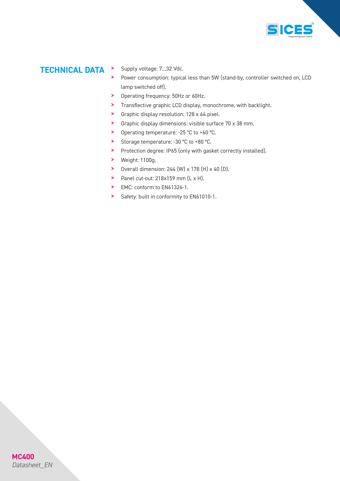

## *TECHNICAL DATA* > Supply voltage: 7…32 Vdc.

- 
- > Power consumption: typical less than 5W (stand-by, controller switched on, LCD lamp switched off).
- > Operating frequency: 50Hz or 60Hz.
- > Transflective graphic LCD display, monochrome, with backlight.
- > Graphic display resolution: 128 x 64 pixel.
- > Graphic display dimensions: visible surface 70 x 38 mm.
- > Operating temperature: -25 °C to +60 °C.
- > Storage temperature: -30 °C to +80 °C.
- > Protection degree: IP65 (only with gasket correctly installed).
- > Weight: 1100g.
- > Overall dimension:  $244$  (W)  $\times$  178 (H)  $\times$  40 (D).
- > Panel cut-out: 218x159 mm (L x H).
- > EMC: conform to EN61326-1.
- > Safety: built in conformity to EN61010-1.